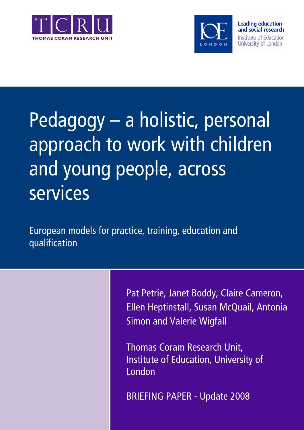



**Leading education** and social research Institute of Education University of London

# Pedagogy – a holistic, personal approach to work with children and young people, across services

European models for practice, training, education and qualification

> Pat Petrie, Janet Boddy, Claire Cameron, Ellen Heptinstall, Susan McQuail, Antonia Simon and Valerie Wigfall

Thomas Coram Research Unit, Institute of Education, University of London

BRIEFING PAPER - Update 2008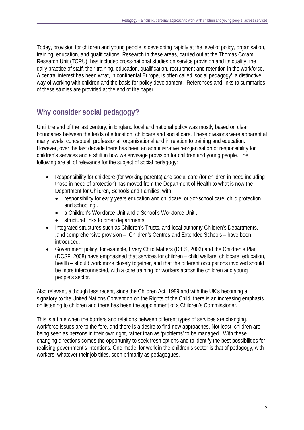Today, provision for children and young people is developing rapidly at the level of policy, organisation, training, education, and qualifications. Research in these areas, carried out at the Thomas Coram Research Unit (TCRU), has included cross-national studies on service provision and its quality, the daily practice of staff, their training, education, qualification, recruitment and retention in the workforce. A central interest has been what, in continental Europe, is often called 'social pedagogy', a distinctive way of working with children and the basis for policy development. References and links to summaries of these studies are provided at the end of the paper.

# **Why consider social pedagogy?**

Until the end of the last century, in England local and national policy was mostly based on clear boundaries between the fields of education, childcare and social care. These divisions were apparent at many levels: conceptual, professional, organisational and in relation to training and education. However, over the last decade there has been an administrative reorganisation of responsibility for children's services and a shift in how we envisage provision for children and young people. The following are all of relevance for the subject of social pedagogy:

- Responsibility for childcare (for working parents) and social care (for children in need including those in need of protection) has moved from the Department of Health to what is now the Department for Children, Schools and Families, with:
	- responsibility for early years education and childcare, out-of-school care, child protection and schooling .
	- a Children's Workforce Unit and a School's Workforce Unit .
	- structural links to other departments
- Integrated structures such as Children's Trusts, and local authority Children's Departments, ,and comprehensive provision – Children's Centres and Extended Schools – have been introduced.
- Government policy, for example, Every Child Matters (DfES, 2003) and the Children's Plan (DCSF, 2008) have emphasised that services for children – child welfare, childcare, education, health – should work more closely together, and that the different occupations involved should be more interconnected, with a core training for workers across the children and young people's sector.

Also relevant, although less recent, since the Children Act, 1989 and with the UK's becoming a signatory to the United Nations Convention on the Rights of the Child, there is an increasing emphasis on listening to children and there has been the appointment of a Children's Commissioner.

This is a time when the borders and relations between different types of services are changing, workforce issues are to the fore, and there is a desire to find new approaches. Not least, children are being seen as persons in their own right, rather than as 'problems' to be managed. With these changing directions comes the opportunity to seek fresh options and to identify the best possibilities for realising government's intentions. One model for work in the children's sector is that of pedagogy, with workers, whatever their job titles, seen primarily as pedagogues.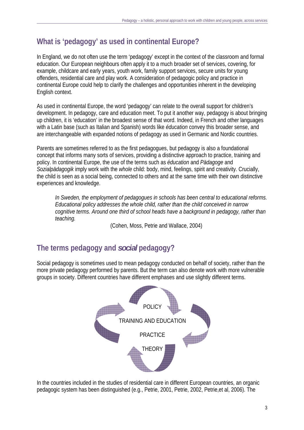# **What is 'pedagogy' as used in continental Europe?**

In England, we do not often use the term 'pedagogy' except in the context of the classroom and formal education. Our European neighbours often apply it to a much broader set of services, covering, for example, childcare and early years, youth work, family support services, secure units for young offenders, residential care and play work. A consideration of pedagogic policy and practice in continental Europe could help to clarify the challenges and opportunities inherent in the developing English context.

As used in continental Europe, the word 'pedagogy' can relate to the overall support for children's development. In pedagogy, care and education meet. To put it another way, pedagogy is about bringing up children, it is 'education' in the broadest sense of that word. Indeed, in French and other languages with a Latin base (such as Italian and Spanish) words like *éducation* convey this broader sense, and are interchangeable with expanded notions of pedagogy as used in Germanic and Nordic countries.

Parents are sometimes referred to as the first pedagogues, but pedagogy is also a foundational concept that informs many sorts of services, providing a distinctive approach to practice, training and policy. In continental Europe, the use of the terms such as *éducation* and *Pädagoge* and *Sozialpädagogik* imply work with the *whole* child: body, mind, feelings, spirit and creativity. Crucially, the child is seen as a social being, connected to others and at the same time with their own distinctive experiences and knowledge.

*In Sweden, the employment of pedagogues in schools has been central to educational reforms. Educational policy addresses the whole child, rather than the child conceived in narrow cognitive terms. Around one third of school heads have a background in pedagogy, rather than teaching.* 

(Cohen, Moss, Petrie and Wallace, 2004)

## **The terms pedagogy and** *social* **pedagogy?**

Social pedagogy is sometimes used to mean pedagogy conducted on behalf of society, rather than the more private pedagogy performed by parents. But the term can also denote work with more vulnerable groups in society. Different countries have different emphases and use slightly different terms.



In the countries included in the studies of residential care in different European countries, an organic pedagogic system has been distinguished (e.g., Petrie, 2001, Petrie, 2002, Petrie,et al, 2006). The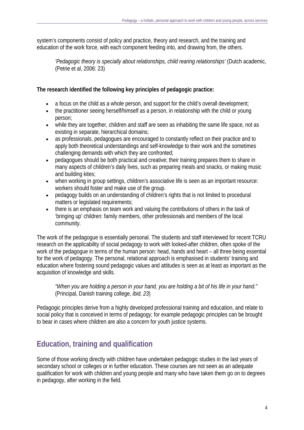system's components consist of policy and practice, theory and research, and the training and education of the work force, with each component feeding into, and drawing from, the others.

*'Pedagogic theory is specially about relationships, child rearing relationships'* (Dutch academic, (Petrie et al, 2006: 23)

#### **The research identified the following key principles of pedagogic practice:**

- a focus on the child as a whole person, and support for the child's overall development;
- the practitioner seeing herself/himself as a person, in relationship with the child or young person;
- while they are together, children and staff are seen as inhabiting the same life space, not as existing in separate, hierarchical domains;
- as professionals, pedagogues are encouraged to constantly reflect on their practice and to apply both theoretical understandings and self-knowledge to their work and the sometimes challenging demands with which they are confronted;
- pedagogues should be both practical and creative; their training prepares them to share in many aspects of children's daily lives, such as preparing meals and snacks, or making music and building kites;
- when working in group settings, children's associative life is seen as an important resource: workers should foster and make use of the group.
- pedagogy builds on an understanding of children's rights that is not limited to procedural matters or legislated requirements;
- there is an emphasis on team work and valuing the contributions of others in the task of 'bringing up' children: family members, other professionals and members of the local community.

The work of the pedagogue is essentially personal. The students and staff interviewed for recent TCRU research on the applicability of social pedagogy to work with looked-after children, often spoke of the work of the pedagogue in terms of the human person: head, hands and heart – all three being essential for the work of pedagogy. The personal, relational approach is emphasised in students' training and education where fostering sound pedagogic values and attitudes is seen as at least as important as the acquisition of knowledge and skills.

#### *"When you are holding a person in your hand, you are holding a bit of his life in your hand."*  (Principal, Danish training college, *ibid, 23*)

Pedagogic principles derive from a highly developed professional training and education, and relate to social policy that is conceived in terms of pedagogy; for example pedagogic principles can be brought to bear in cases where children are also a concern for youth justice systems.

## **Education, training and qualification**

Some of those working directly with children have undertaken pedagogic studies in the last years of secondary school or colleges or in further education. These courses are not seen as an adequate qualification for work with children and young people and many who have taken them go on to degrees in pedagogy, after working in the field.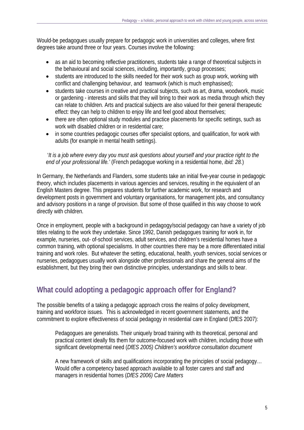Would-be pedagogues usually prepare for pedagogic work in universities and colleges, where first degrees take around three or four years. Courses involve the following:

- as an aid to becoming reflective practitioners, students take a range of theoretical subjects in the behavioural and social sciences, including, importantly, group processes;
- students are introduced to the skills needed for their work such as group work, working with conflict and challenging behaviour, and teamwork (which is much emphasised);
- students take courses in creative and practical subjects, such as art, drama, woodwork, music or gardening - interests and skills that they will bring to their work as media through which they can relate to children. Arts and practical subjects are also valued for their general therapeutic effect: they can help to children to enjoy life and feel good about themselves;
- there are often optional study modules and practice placements for specific settings, such as work with disabled children or in residential care;
- in some countries pedagogic courses offer specialist options, and qualification, for work with adults (for example in mental health settings).

#### '*It is a job where every day you must ask questions about yourself and your practice right to the end of your professional life.'* (French pedagogue working in a residential home, *ibid: 28.*)

In Germany, the Netherlands and Flanders, some students take an initial five-year course in pedagogic theory, which includes placements in various agencies and services, resulting in the equivalent of an English Masters degree. This prepares students for further academic work, for research and development posts in government and voluntary organisations, for management jobs, and consultancy and advisory positions in a range of provision. But some of those qualified in this way choose to work directly with children.

Once in employment, people with a background in pedagogy/social pedagogy can have a variety of job titles relating to the work they undertake. Since 1992, Danish pedagogues training for work in, for example, nurseries, out- of-school services, adult services, and children's residential homes have a common training, with optional specialisms. In other countries there may be a more differentiated initial training and work roles. But whatever the setting, educational, health, youth services, social services or nurseries, pedagogues usually work alongside other professionals and share the general aims of the establishment, but they bring their own distinctive principles, understandings and skills to bear.

# **What could adopting a pedagogic approach offer for England?**

The possible benefits of a taking a pedagogic approach cross the realms of policy development, training and workforce issues. This is acknowledged in recent government statements, and the commitment to explore effectiveness of social pedagogy in residential care in England (DfES 2007):

Pedagogues are generalists. Their uniquely broad training with its theoretical, personal and practical content ideally fits them for outcome-focused work with children, including those with significant developmental need (*DfES 2005) Children's workforce consultation document* 

A new framework of skills and qualifications incorporating the principles of social pedagogy… Would offer a competency based approach available to all foster carers and staff and managers in residential homes (*DfES 2006) Care Matters*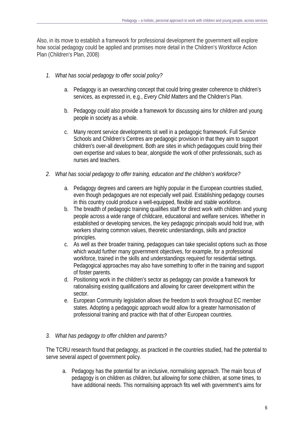Also, in its move to establish a framework for professional development the government will explore how social pedagogy could be applied and promises more detail in the Children's Workforce Action Plan (Children's Plan, 2008)

#### *1. What has social pedagogy to offer social policy?*

- a. Pedagogy is an overarching concept that could bring greater coherence to children's services, as expressed in, e.g., *Every Child Matters* and the Children's Plan.
- b. Pedagogy could also provide a framework for discussing aims for children and young people in society as a whole.
- c. Many recent service developments sit well in a pedagogic framework. Full Service Schools and Children's Centres are pedagogic provision in that they aim to support children's over-all development. Both are sites in which pedagogues could bring their own expertise and values to bear, alongside the work of other professionals, such as nurses and teachers.
- *2. What has social pedagogy to offer training, education and the children's workforce?* 
	- a. Pedagogy degrees and careers are highly popular in the European countries studied, even though pedagogues are not especially well paid. Establishing pedagogy courses in this country could produce a well-equipped, flexible and stable workforce.
	- b. The breadth of pedagogic training qualifies staff for direct work with children and young people across a wide range of childcare, educational and welfare services. Whether in established or developing services, the key pedagogic principals would hold true, with workers sharing common values, theoretic understandings, skills and practice principles.
	- c. As well as their broader training, pedagogues can take specialist options such as those which would further many government objectives, for example, for a professional workforce, trained in the skills and understandings required for residential settings. Pedagogical approaches may also have something to offer in the training and support of foster parents.
	- d. Positioning work in the children's sector as pedagogy can provide a framework for rationalising existing qualifications and allowing for career development within the sector.
	- e. European Community legislation allows the freedom to work throughout EC member states. Adopting a pedagogic approach would allow for a greater harmonisation of professional training and practice with that of other European countries.

#### *3. What has pedagogy to offer children and parents?*

The TCRU research found that pedagogy, as practiced in the countries studied, had the potential to serve several aspect of government policy.

a. Pedagogy has the potential for an inclusive, normalising approach. The main focus of pedagogy is on children as children, but allowing for some children, at some times, to have additional needs. This normalising approach fits well with government's aims for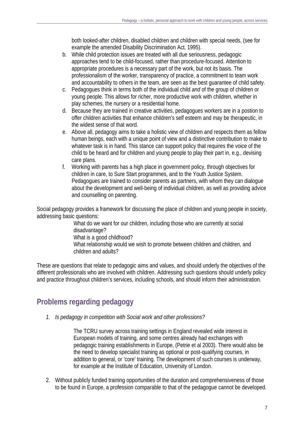both looked-after children, disabled children and children with special needs, (see for example the amended Disability Discrimination Act, 1995).

- b. While child protection issues are treated with all due seriousness, pedagogic approaches tend to be child-focused, rather than procedure-focused. Attention to appropriate procedures is a necessary part of the work, but not its basis. The professionalism of the worker, transparency of practice, a commitment to team work and accountability to others in the team, are seen as the best guarantee of child safety.
- c. Pedagogues think in terms both of the individual child *and* of the group of children or young people. This allows for richer, more productive work with children, whether in play schemes, the nursery or a residential home.
- d. Because they are trained in creative activities, pedagogues workers are in a postion to offer children activities that enhance children's self esteem and may be therapeutic, in the widest sense of that word.
- e. Above all, pedagogy aims to take a holistic view of children and respects them as fellow human beings, each with a unique point of view and a distinctive contribution to make to whatever task is in hand. This stance can support policy that requires the voice of the child to be heard and for children and young people to play their part in, e.g., devising care plans.
- f. Working with parents has a high place in government policy, through objectives for children in care, to Sure Start programmes, and to the Youth Justice System. Pedagogues are trained to consider parents as partners, with whom they can dialogue about the development and well-being of individual children, as well as providing advice and counselling on parenting.

Social pedagogy provides a framework for discussing the place of children and young people in society, addressing basic questions:

What do we want for our children, including those who are currently at social disadvantage?

What is a good childhood?

What relationship would we wish to promote between children and children, and children and adults?

These are questions that relate to pedagogic aims and values, and should underly the objectives of the different professionals who are involved with children. Addressing such questions should underly policy and practice throughout children's services, including schools, and should inform their administration.

## **Problems regarding pedagogy**

*1. Is pedagogy in competition with Social work and other professions?* 

The TCRU survey across training settings in England revealed wide interest in European models of training, and some centres already had exchanges with pedagogic training establishments in Europe, (Petrie et al 2003). There would also be the need to develop specialist training as optional or post-qualifying courses, in addition to general, or 'core' training. The development of such courses is underway, for example at the Institute of Education, University of London.

2. Without publicly funded training opportunities of the duration and comprehensiveness of those to be found in Europe, a profession comparable to that of the pedagogue cannot be developed.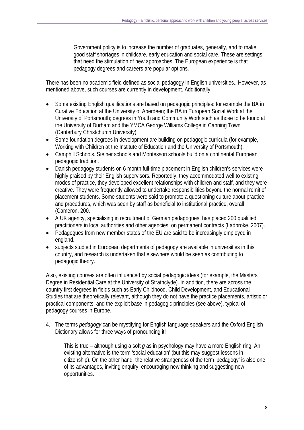Government policy is to increase the number of graduates, generally, and to make good staff shortages in childcare, early education and social care. These are settings that need the stimulation of new approaches. The European experience is that pedagogy degrees and careers are popular options.

There has been no academic field defined as social pedagogy in English universities., However, as mentioned above, such courses are currently in development. Additionally:

- Some existing English qualifications are based on pedagogic principles: for example the BA in Curative Education at the University of Aberdeen; the BA in European Social Work at the University of Portsmouth; degrees in Youth and Community Work such as those to be found at the University of Durham and the YMCA George Williams College in Canning Town (Canterbury Christchurch University)
- Some foundation degrees in development are building on pedagogic curricula (for example, Working with Children at the Institute of Education and the University of Portsmouth).
- Camphill Schools, Steiner schools and Montessori schools build on a continental European pedagogic tradition.
- Danish pedagogy students on 6 month full-time placement in English children's services were highly praised by their English supervisors. Reportedly, they accommodated well to existing modes of practice, they developed excellent relationships with children and staff, and they were creative. They were frequently allowed to undertake responsibilities beyond the normal remit of placement students. Some students were said to promote a questioning culture about practice and procedures, which was seen by staff as beneficial to institutional practice, overall (Cameron, 200.
- A UK agency, specialising in recruitment of German pedagogues, has placed 200 qualified practitioners in local authorities and other agencies, on permanent contracts (Ladbroke, 2007).
- Pedagogues from new member states of the EU are said to be increasingly employed in england.
- subjects studied in European departments of pedagogy are available in universities in this country, and research is undertaken that elsewhere would be seen as contributing to pedagogic theory.

Also, existing courses are often influenced by social pedagogic ideas (for example, the Masters Degree in Residential Care at the University of Strathclyde). In addition, there are across the country first degrees in fields such as Early Childhood, Child Development, and Educational Studies that are theoretically relevant, although they do not have the practice placements, artistic or practical components, and the explicit base in pedagogic principles (see above), typical of pedagogy courses in Europe.

4. The terms *pedagogy* can be mystifying for English language speakers and the Oxford English Dictionary allows for three ways of pronouncing it!

This is true – although using a soft *g* as in psychology may have a more English ring! An existing alternative is the term 'social education' (but this may suggest lessons in citizenship). On the other hand, the relative strangeness of the term 'pedagogy' is also one of its advantages, inviting enquiry, encouraging new thinking and suggesting new opportunities.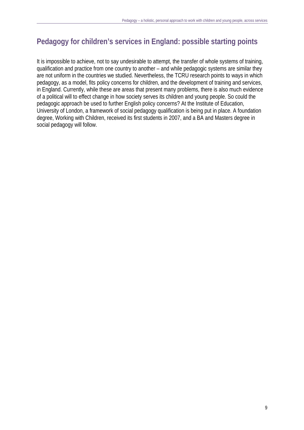### **Pedagogy for children's services in England: possible starting points**

It is impossible to achieve, not to say undesirable to attempt, the transfer of whole systems of training, qualification and practice from one country to another – and while pedagogic systems are similar they are not uniform in the countries we studied. Nevertheless, the TCRU research points to ways in which pedagogy, as a model, fits policy concerns for children, and the development of training and services, in England. Currently, while these are areas that present many problems, there is also much evidence of a political will to effect change in how society serves its children and young people. So could the pedagogic approach be used to further English policy concerns? At the Institute of Education, University of London, a framework of social pedagogy qualification is being put in place. A foundation degree, Working with Children, received its first students in 2007, and a BA and Masters degree in social pedagogy will follow.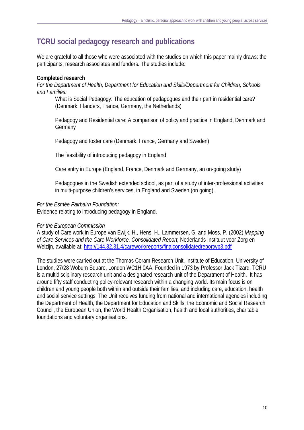## **TCRU social pedagogy research and publications**

We are grateful to all those who were associated with the studies on which this paper mainly draws: the participants, research associates and funders. The studies include:

#### **Completed research**

*For the Department of Health, Department for Education and Skills/Department for Children, Schools and Families:* 

What is Social Pedagogy: The education of pedagogues and their part in residential care? (Denmark, Flanders, France, Germany, the Netherlands)

Pedagogy and Residential care: A comparison of policy and practice in England, Denmark and **Germany** 

Pedagogy and foster care (Denmark, France, Germany and Sweden)

The feasibility of introducing pedagogy in England

Care entry in Europe (England, France, Denmark and Germany, an on-going study)

Pedagogues in the Swedish extended school, as part of a study of inter-professional activities in multi-purpose children's services, in England and Sweden (on going).

#### *For the Esmée Fairbairn Foundation:*

Evidence relating to introducing pedagogy in England.

#### *For the European Commission*

A study of Care work in Europe van Ewijk, H., Hens, H., Lammersen, G. and Moss, P. (2002) *Mapping of Care Services and the Care Workforce, Consolidated Report,* Nederlands Instituut voor Zorg en Welzijn, available at: http://144.82.31.4/carework/reports/finalconsolidatedreportwp3.pdf

The studies were carried out at the Thomas Coram Research Unit, Institute of Education, University of London, 27/28 Woburn Square, London WC1H 0AA. Founded in 1973 by Professor Jack Tizard, TCRU is a multidisciplinary research unit and a designated research unit of the Department of Health. It has around fifty staff conducting policy-relevant research within a changing world. Its main focus is on children and young people both within and outside their families, and including care, education, health and social service settings. The Unit receives funding from national and international agencies including the Department of Health, the Department for Education and Skills, the Economic and Social Research Council, the European Union, the World Health Organisation, health and local authorities, charitable foundations and voluntary organisations.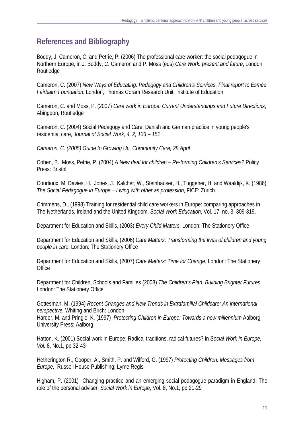## **References and Bibliography**

Boddy, J, Cameron, C. and Petrie, P. (2006) The professional care worker: the social pedagogue in Northern Europe, in J. Boddy, C. Cameron and P. Moss (eds) *Care Work: present and future*, London, Routledge

Cameron, C. (2007) *New Ways of Educating: Pedagogy and Children's Services, Final report to Esmée Fairbairn Foundation*, London, Thomas Coram Research Unit, Institute of Education

Cameron, C. and Moss, P. (2007) *Care work in Europe: Current Understandings and Future Directions*, Abingdon, Routledge

Cameron, C. (2004) Social Pedagogy and Care: Danish and German practice in young people's residential care, *Journal of Social Work, 4, 2, 133 – 151* 

*Cameron, C. (2005) Guide to Growing Up, Community Care, 28 April*

Cohen, B., Moss, Petrie, P. (2004) *A New deal for children – Re-forming Children's Services?* Policy Press: Bristol

Courtioux, M. Davies, H., Jones, J., Kalcher, W., Steinhauser, H., Tuggener, H. and Waaldijk, K. (1986) *The Social Pedagogue in Europe – Living with other as profession*, FICE: Zurich

Crimmens, D., (1998) Training for residential child care workers in Europe: comparing approaches in The Netherlands, Ireland and the United Kingdom, *Social Work Education*, Vol. 17, no. 3, 309-319.

Department for Education and Skills, (2003) *Every Child Matters,* London: The Stationery Office

Department for Education and Skills, (2006) *Care Matters: Transforming the lives of children and young people in care*, London: The Stationery Office

Department for Education and Skills, (2007) *Care Matters: Time for Change*, London: The Stationery **Office** 

Department for Children, Schools and Families (2008) *The Children's Plan: Building Brighter Futures*, London: The Stationery Office

Gottesman, M. (1994) *Recent Changes and New Trends in Extrafamilial Childcare: An international perspective,* Whiting and Birch: London

Harder, M. and Pringle, K. (1997) *Protecting Children in Europe: Towards a new millennium* Aalborg University Press: Aalborg

Hatton, K. (2001) Social work in Europe: Radical traditions, radical futures? in *Social Work in Europe, Vol.* 8, No.1, pp 32-43

Hetherington R., Cooper, A., Smith, P. and Wilford, G. (1997) *Protecting Children: Messages from Europe,* Russell House Publishing: Lyme Regis

Higham, P. (2001) Changing practice and an emerging social pedagogue paradigm in England: The role of the personal adviser, *Social Work in Europe,* Vol. 8, No.1, pp 21-29